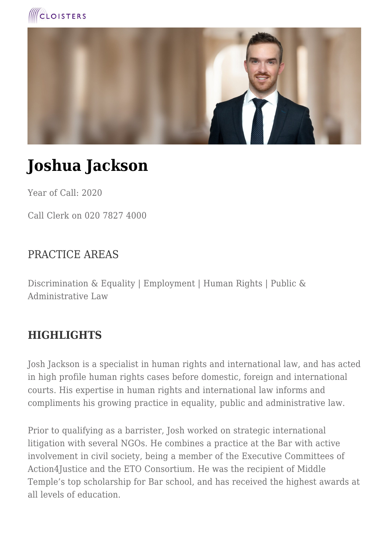



# **Joshua Jackson**

Year of Call: 2020

Call Clerk on 020 7827 4000

### PRACTICE AREAS

Discrimination & Equality | Employment | Human Rights | Public & Administrative Law

## **HIGHLIGHTS**

Josh Jackson is a specialist in human rights and international law, and has acted in high profile human rights cases before domestic, foreign and international courts. His expertise in human rights and international law informs and compliments his growing practice in equality, public and administrative law.

Prior to qualifying as a barrister, Josh worked on strategic international litigation with several NGOs. He combines a practice at the Bar with active involvement in civil society, being a member of the Executive Committees of Action4Justice and the ETO Consortium. He was the recipient of Middle Temple's top scholarship for Bar school, and has received the highest awards at all levels of education.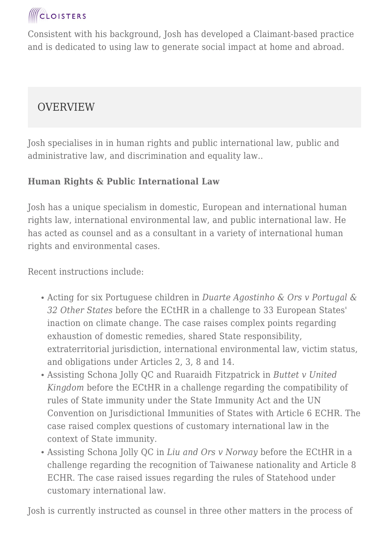

Consistent with his background, Josh has developed a Claimant-based practice and is dedicated to using law to generate social impact at home and abroad.

## **OVERVIEW**

Josh specialises in in human rights and public international law, public and administrative law, and discrimination and equality law..

#### **Human Rights & Public International Law**

Josh has a unique specialism in domestic, European and international human rights law, international environmental law, and public international law. He has acted as counsel and as a consultant in a variety of international human rights and environmental cases.

Recent instructions include:

- Acting for six Portuguese children in *Duarte Agostinho & Ors v Portugal & 32 Other States* before the ECtHR in a challenge to 33 European States' inaction on climate change. The case raises complex points regarding exhaustion of domestic remedies, shared State responsibility, extraterritorial jurisdiction, international environmental law, victim status, and obligations under Articles 2, 3, 8 and 14.
- Assisting Schona Jolly QC and Ruaraidh Fitzpatrick in *Buttet v United Kingdom* before the ECtHR in a challenge regarding the compatibility of rules of State immunity under the State Immunity Act and the UN Convention on Jurisdictional Immunities of States with Article 6 ECHR. The case raised complex questions of customary international law in the context of State immunity.
- Assisting Schona Jolly QC in *Liu and Ors v Norway* before the ECtHR in a challenge regarding the recognition of Taiwanese nationality and Article 8 ECHR. The case raised issues regarding the rules of Statehood under customary international law.

Josh is currently instructed as counsel in three other matters in the process of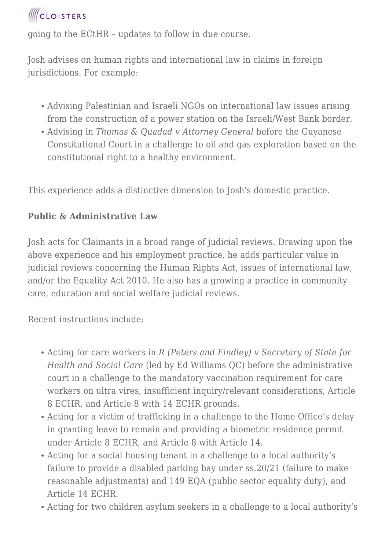

going to the ECtHR – updates to follow in due course.

Josh advises on human rights and international law in claims in foreign jurisdictions. For example:

- Advising Palestinian and Israeli NGOs on international law issues arising from the construction of a power station on the Israeli/West Bank border.
- Advising in *Thomas & Quadad v Attorney General* before the Guyanese Constitutional Court in a challenge to oil and gas exploration based on the constitutional right to a healthy environment.

This experience adds a distinctive dimension to Josh's domestic practice.

#### **Public & Administrative Law**

Josh acts for Claimants in a broad range of judicial reviews. Drawing upon the above experience and his employment practice, he adds particular value in judicial reviews concerning the Human Rights Act, issues of international law, and/or the Equality Act 2010. He also has a growing a practice in community care, education and social welfare judicial reviews.

Recent instructions include:

- Acting for care workers in *R (Peters and Findley) v Secretary of State for Health and Social Care* (led by Ed Williams QC) before the administrative court in a challenge to the mandatory vaccination requirement for care workers on ultra vires, insufficient inquiry/relevant considerations, Article 8 ECHR, and Article 8 with 14 ECHR grounds.
- Acting for a victim of trafficking in a challenge to the Home Office's delay in granting leave to remain and providing a biometric residence permit under Article 8 ECHR, and Article 8 with Article 14.
- Acting for a social housing tenant in a challenge to a local authority's failure to provide a disabled parking bay under ss.20/21 (failure to make reasonable adjustments) and 149 EQA (public sector equality duty), and Article 14 ECHR.
- Acting for two children asylum seekers in a challenge to a local authority's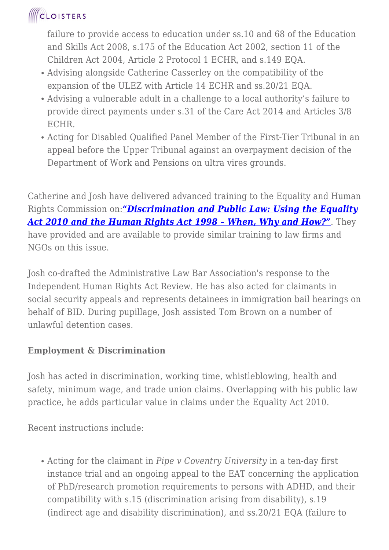## **CLOISTERS**

failure to provide access to education under ss.10 and 68 of the Education and Skills Act 2008, s.175 of the Education Act 2002, section 11 of the Children Act 2004, Article 2 Protocol 1 ECHR, and s.149 EQA.

- Advising alongside Catherine Casserley on the compatibility of the expansion of the ULEZ with Article 14 ECHR and ss.20/21 EQA.
- Advising a vulnerable adult in a challenge to a local authority's failure to provide direct payments under s.31 of the Care Act 2014 and Articles 3/8 ECHR.
- Acting for Disabled Qualified Panel Member of the First-Tier Tribunal in an appeal before the Upper Tribunal against an overpayment decision of the Department of Work and Pensions on ultra vires grounds.

Catherine and Josh have delivered advanced training to the Equality and Human Rights Commission on:*["Discrimination and Public Law: Using the Equality](https://www.cloisters.com/news/discrimination-and-public-law-training/) [Act 2010 and the Human Rights Act 1998 – When, Why and How?"](https://www.cloisters.com/news/discrimination-and-public-law-training/)*. They have provided and are available to provide similar training to law firms and NGOs on this issue.

Josh co-drafted the Administrative Law Bar Association's response to the Independent Human Rights Act Review. He has also acted for claimants in social security appeals and represents detainees in immigration bail hearings on behalf of BID. During pupillage, Josh assisted Tom Brown on a number of unlawful detention cases.

#### **Employment & Discrimination**

Josh has acted in discrimination, working time, whistleblowing, health and safety, minimum wage, and trade union claims. Overlapping with his public law practice, he adds particular value in claims under the Equality Act 2010.

Recent instructions include:

Acting for the claimant in *Pipe v Coventry University* in a ten-day first instance trial and an ongoing appeal to the EAT concerning the application of PhD/research promotion requirements to persons with ADHD, and their compatibility with s.15 (discrimination arising from disability), s.19 (indirect age and disability discrimination), and ss.20/21 EQA (failure to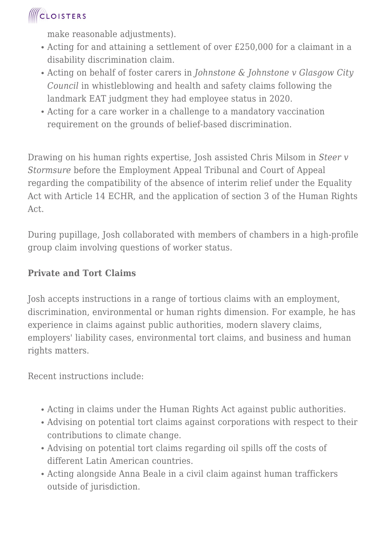## **ICLOISTERS**

make reasonable adjustments).

- Acting for and attaining a settlement of over £250,000 for a claimant in a disability discrimination claim.
- Acting on behalf of foster carers in *Johnstone & Johnstone v Glasgow City Council* in whistleblowing and health and safety claims following the landmark EAT judgment they had employee status in 2020.
- Acting for a care worker in a challenge to a mandatory vaccination requirement on the grounds of belief-based discrimination.

Drawing on his human rights expertise, Josh assisted Chris Milsom in *Steer v Stormsure* before the Employment Appeal Tribunal and Court of Appeal regarding the compatibility of the absence of interim relief under the Equality Act with Article 14 ECHR, and the application of section 3 of the Human Rights Act.

During pupillage, Josh collaborated with members of chambers in a high-profile group claim involving questions of worker status.

#### **Private and Tort Claims**

Josh accepts instructions in a range of tortious claims with an employment, discrimination, environmental or human rights dimension. For example, he has experience in claims against public authorities, modern slavery claims, employers' liability cases, environmental tort claims, and business and human rights matters.

Recent instructions include:

- Acting in claims under the Human Rights Act against public authorities.
- Advising on potential tort claims against corporations with respect to their contributions to climate change.
- Advising on potential tort claims regarding oil spills off the costs of different Latin American countries.
- Acting alongside Anna Beale in a civil claim against human traffickers outside of jurisdiction.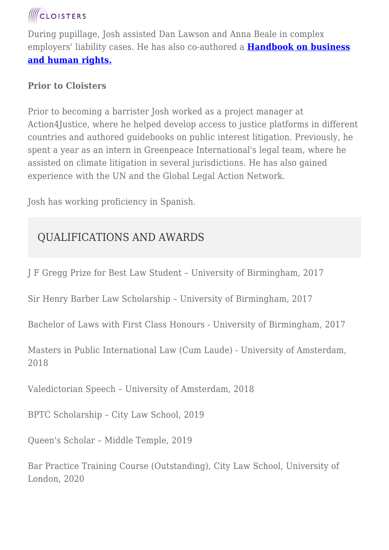

During pupillage, Josh assisted Dan Lawson and Anna Beale in complex employers' liability cases. He has also co-authored a **[Handbook on business](https://action4justice.org/legal_areas/business-and-human-rights/) [and human rights.](https://action4justice.org/legal_areas/business-and-human-rights/)**

#### **Prior to Cloisters**

Prior to becoming a barrister Josh worked as a project manager at Action4Justice, where he helped develop access to justice platforms in different countries and authored guidebooks on public interest litigation. Previously, he spent a year as an intern in Greenpeace International's legal team, where he assisted on climate litigation in several jurisdictions. He has also gained experience with the UN and the Global Legal Action Network.

Josh has working proficiency in Spanish.

## QUALIFICATIONS AND AWARDS

J F Gregg Prize for Best Law Student – University of Birmingham, 2017

Sir Henry Barber Law Scholarship – University of Birmingham, 2017

Bachelor of Laws with First Class Honours - University of Birmingham, 2017

Masters in Public International Law (Cum Laude) - University of Amsterdam, 2018

Valedictorian Speech – University of Amsterdam, 2018

BPTC Scholarship – City Law School, 2019

Queen's Scholar – Middle Temple, 2019

Bar Practice Training Course (Outstanding), City Law School, University of London, 2020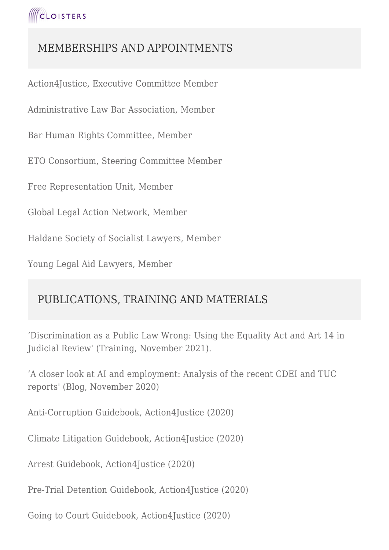## MEMBERSHIPS AND APPOINTMENTS

Action4Justice, Executive Committee Member

Administrative Law Bar Association, Member

Bar Human Rights Committee, Member

ETO Consortium, Steering Committee Member

Free Representation Unit, Member

Global Legal Action Network, Member

Haldane Society of Socialist Lawyers, Member

Young Legal Aid Lawyers, Member

## PUBLICATIONS, TRAINING AND MATERIALS

'Discrimination as a Public Law Wrong: Using the Equality Act and Art 14 in Judicial Review' (Training, November 2021).

'A closer look at AI and employment: Analysis of the recent CDEI and TUC reports' (Blog, November 2020)

Anti-Corruption Guidebook, Action4Justice (2020)

Climate Litigation Guidebook, Action4Justice (2020)

Arrest Guidebook, Action4Justice (2020)

Pre-Trial Detention Guidebook, Action4Justice (2020)

Going to Court Guidebook, Action4Justice (2020)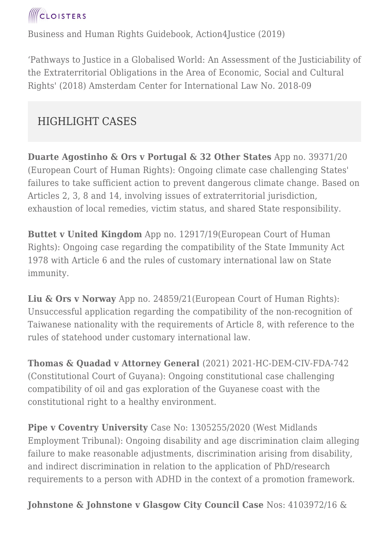

Business and Human Rights Guidebook, Action4Justice (2019)

'Pathways to Justice in a Globalised World: An Assessment of the Justiciability of the Extraterritorial Obligations in the Area of Economic, Social and Cultural Rights' (2018) Amsterdam Center for International Law No. 2018-09

## HIGHLIGHT CASES

**Duarte Agostinho & Ors v Portugal & 32 Other States** App no. 39371/20 (European Court of Human Rights): Ongoing climate case challenging States' failures to take sufficient action to prevent dangerous climate change. Based on Articles 2, 3, 8 and 14, involving issues of extraterritorial jurisdiction, exhaustion of local remedies, victim status, and shared State responsibility.

**Buttet v United Kingdom** App no. 12917/19(European Court of Human Rights): Ongoing case regarding the compatibility of the State Immunity Act 1978 with Article 6 and the rules of customary international law on State immunity.

**Liu & Ors v Norway** App no. 24859/21(European Court of Human Rights): Unsuccessful application regarding the compatibility of the non-recognition of Taiwanese nationality with the requirements of Article 8, with reference to the rules of statehood under customary international law.

**Thomas & Quadad v Attorney General** (2021) 2021-HC-DEM-CIV-FDA-742 (Constitutional Court of Guyana): Ongoing constitutional case challenging compatibility of oil and gas exploration of the Guyanese coast with the constitutional right to a healthy environment.

**Pipe v Coventry University** Case No: 1305255/2020 (West Midlands Employment Tribunal): Ongoing disability and age discrimination claim alleging failure to make reasonable adjustments, discrimination arising from disability, and indirect discrimination in relation to the application of PhD/research requirements to a person with ADHD in the context of a promotion framework.

**Johnstone & Johnstone v Glasgow City Council Case** Nos: 4103972/16 &